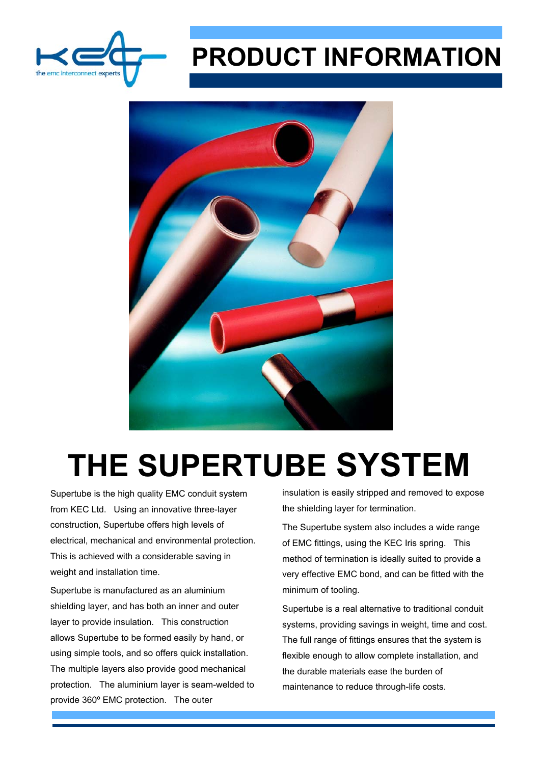

## **PRODUCT INFORMATION**



## **THE SUPERTUBE SYSTEM**

Supertube is the high quality EMC conduit system from KEC Ltd. Using an innovative three-layer construction, Supertube offers high levels of electrical, mechanical and environmental protection. This is achieved with a considerable saving in weight and installation time.

Supertube is manufactured as an aluminium shielding layer, and has both an inner and outer layer to provide insulation. This construction allows Supertube to be formed easily by hand, or using simple tools, and so offers quick installation. The multiple layers also provide good mechanical protection. The aluminium layer is seam-welded to provide 360º EMC protection. The outer

insulation is easily stripped and removed to expose the shielding layer for termination.

The Supertube system also includes a wide range of EMC fittings, using the KEC Iris spring. This method of termination is ideally suited to provide a very effective EMC bond, and can be fitted with the minimum of tooling.

Supertube is a real alternative to traditional conduit systems, providing savings in weight, time and cost. The full range of fittings ensures that the system is flexible enough to allow complete installation, and the durable materials ease the burden of maintenance to reduce through-life costs.